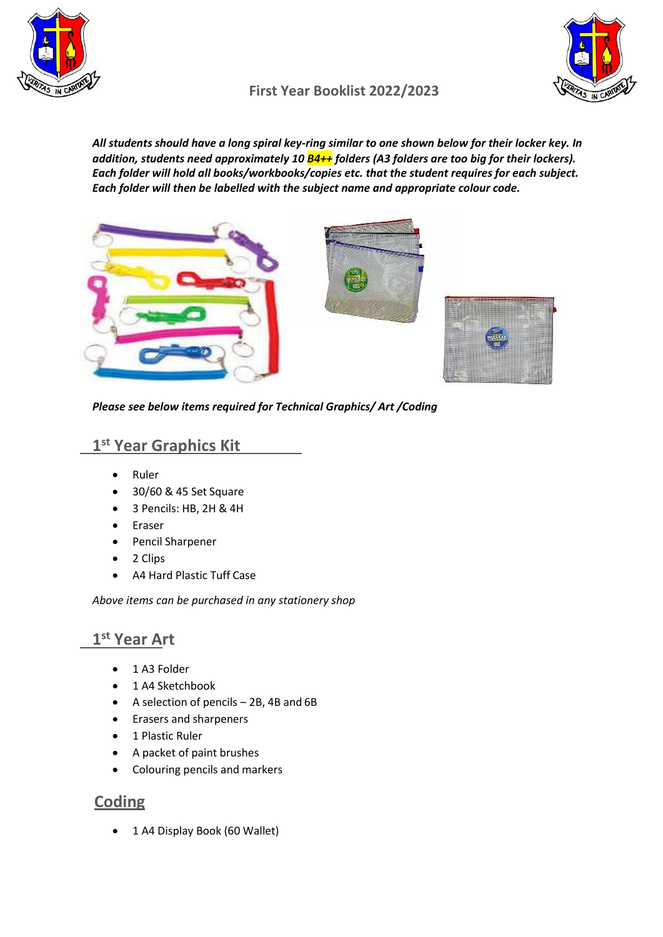

## **First Year Booklist 2022/2023**

*All students should have a long spiral key-ring similar to one shown below for their locker key. In addition, students need approximately 10 B4++ folders (A3 folders are too big for their lockers). Each folder will hold all books/workbooks/copies etc. that the student requires for each subject. Each folder will then be labelled with the subject name and appropriate colour code.*



*Please see below items required for Technical Graphics/ Art /Coding*

# **1 st Year Graphics Kit**

- Ruler
- 30/60 & 45 Set Square
- 3 Pencils: HB, 2H & 4H
- Eraser
- Pencil Sharpener
- 2 Clips
- A4 Hard Plastic Tuff Case

*Above items can be purchased in any stationery shop*

# **1 st Year Art**

- 1 A3 Folder
- 1 A4 Sketchbook
- A selection of pencils 2B, 4B and 6B
- Erasers and sharpeners
- 1 Plastic Ruler
- A packet of paint brushes
- Colouring pencils and markers

### **Coding**

• 1 A4 Display Book (60 Wallet)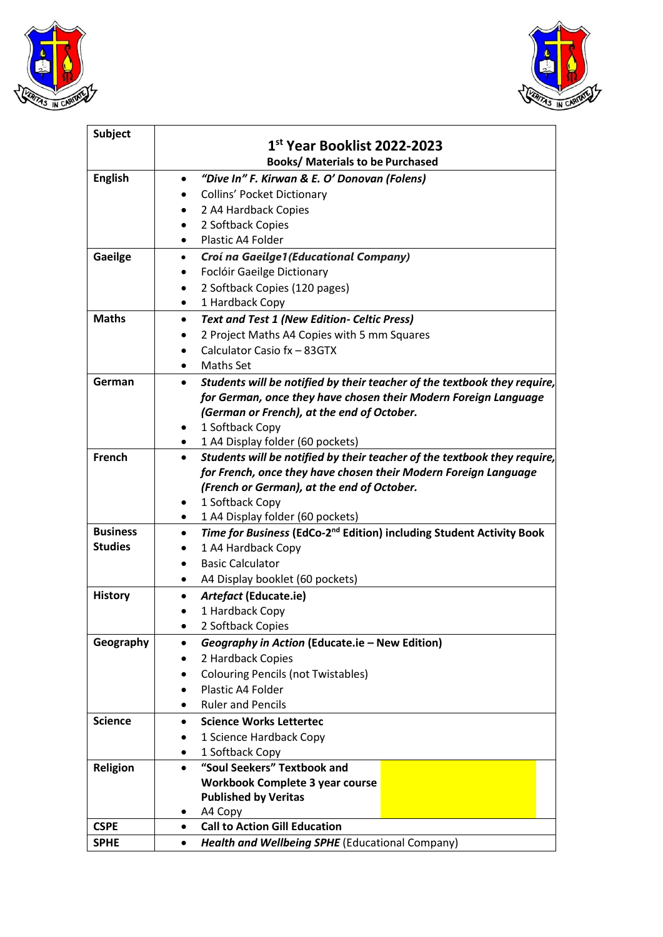



| <b>Subject</b>  |                                                                                               |
|-----------------|-----------------------------------------------------------------------------------------------|
|                 | 1st Year Booklist 2022-2023                                                                   |
|                 | <b>Books/ Materials to be Purchased</b>                                                       |
| <b>English</b>  | "Dive In" F. Kirwan & E. O' Donovan (Folens)<br>$\bullet$                                     |
|                 | <b>Collins' Pocket Dictionary</b><br>٠                                                        |
|                 | 2 A4 Hardback Copies<br>$\bullet$                                                             |
|                 | 2 Softback Copies                                                                             |
|                 | Plastic A4 Folder<br>$\bullet$                                                                |
| <b>Gaeilge</b>  | Croí na Gaeilge1 (Educational Company)<br>$\bullet$                                           |
|                 | Foclóir Gaeilge Dictionary<br>٠                                                               |
|                 | 2 Softback Copies (120 pages)<br>$\bullet$                                                    |
|                 | 1 Hardback Copy<br>$\bullet$                                                                  |
| <b>Maths</b>    | <b>Text and Test 1 (New Edition- Celtic Press)</b><br>$\bullet$                               |
|                 | 2 Project Maths A4 Copies with 5 mm Squares                                                   |
|                 | Calculator Casio fx - 83GTX                                                                   |
|                 | <b>Maths Set</b><br>$\bullet$                                                                 |
| German          | Students will be notified by their teacher of the textbook they require,<br>$\bullet$         |
|                 | for German, once they have chosen their Modern Foreign Language                               |
|                 | (German or French), at the end of October.                                                    |
|                 | 1 Softback Copy                                                                               |
|                 | 1 A4 Display folder (60 pockets)<br>$\bullet$                                                 |
| French          | Students will be notified by their teacher of the textbook they require,<br>$\bullet$         |
|                 | for French, once they have chosen their Modern Foreign Language                               |
|                 | (French or German), at the end of October.                                                    |
|                 | 1 Softback Copy<br>٠                                                                          |
|                 | 1 A4 Display folder (60 pockets)<br>٠                                                         |
| <b>Business</b> | Time for Business (EdCo-2 <sup>nd</sup> Edition) including Student Activity Book<br>$\bullet$ |
| <b>Studies</b>  | 1 A4 Hardback Copy                                                                            |
|                 | <b>Basic Calculator</b><br>$\bullet$                                                          |
|                 | A4 Display booklet (60 pockets)<br>٠                                                          |
| <b>History</b>  | Artefact (Educate.ie)<br>$\bullet$                                                            |
|                 | 1 Hardback Copy                                                                               |
|                 | 2 Softback Copies                                                                             |
| Geography       | Geography in Action (Educate.ie - New Edition)<br>٠                                           |
|                 | 2 Hardback Copies                                                                             |
|                 | <b>Colouring Pencils (not Twistables)</b>                                                     |
|                 | Plastic A4 Folder<br>$\bullet$                                                                |
|                 | <b>Ruler and Pencils</b><br>٠                                                                 |
| <b>Science</b>  | <b>Science Works Lettertec</b><br>$\bullet$                                                   |
|                 | 1 Science Hardback Copy<br>$\bullet$                                                          |
|                 | 1 Softback Copy<br>٠                                                                          |
| Religion        | "Soul Seekers" Textbook and<br>$\bullet$                                                      |
|                 | <b>Workbook Complete 3 year course</b>                                                        |
|                 | <b>Published by Veritas</b>                                                                   |
|                 | A4 Copy<br>٠                                                                                  |
| <b>CSPE</b>     | <b>Call to Action Gill Education</b><br>$\bullet$                                             |
| <b>SPHE</b>     | Health and Wellbeing SPHE (Educational Company)<br>٠                                          |